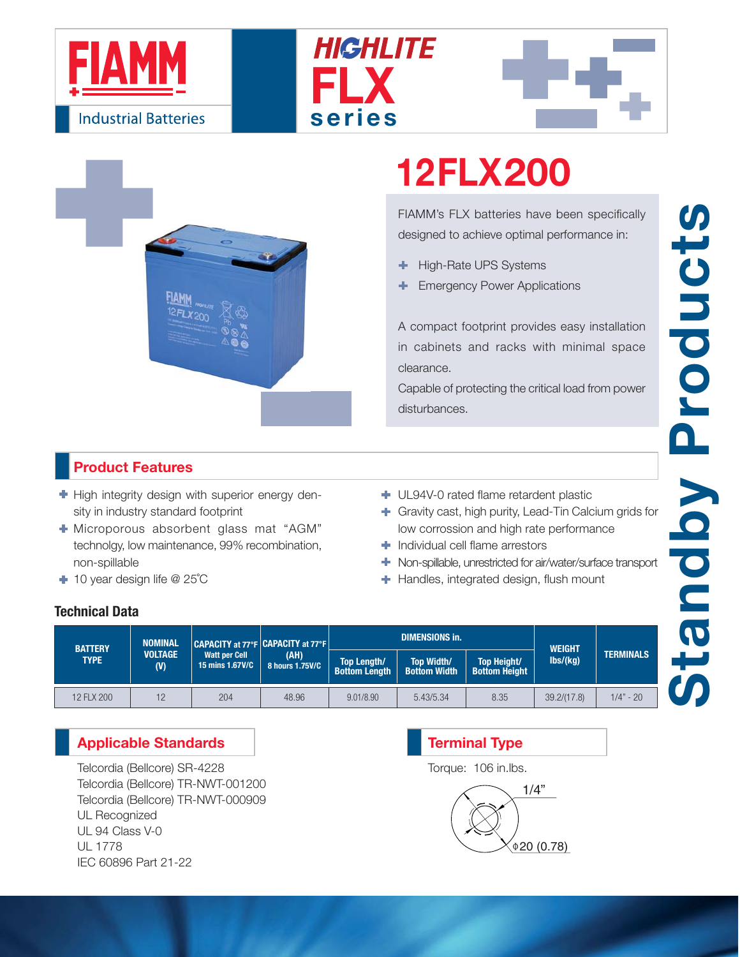







# **12FLX200**

FIAMM's FLX batteries have been specifically designed to achieve optimal performance in:

- High-Rate UPS Systems ٠
- Emergency Power Applications

A compact footprint provides easy installation in cabinets and racks with minimal space clearance.

Capable of protecting the critical load from power disturbances.

## **Product Features**

- $\blacktriangleright$  High integrity design with superior energy density in industry standard footprint
- Microporous absorbent glass mat "AGM" technolgy, low maintenance, 99% recombination, non-spillable
- 10 year design life @ 25˚C
- UL94V-0 rated flame retardent plastic
- Gravity cast, high purity, Lead-Tin Calcium grids for low corrossion and high rate performance
- **Individual cell flame arrestors**
- Non-spillable, unrestricted for air/water/surface transport
- **+** Handles, integrated design, flush mount

#### **Technical Data**

| <b>BATTERY</b><br><b>TYPE</b> | <b>NOMINAL</b><br><b>VOLTAGE</b><br>(V) | CAPACITY at 77°F CAPACITY at 77°F<br><b>Watt per Cell</b><br>15 mins 1.67V/C | (AH)<br>8 hours 1.75V/C |                                            | <b>DIMENSIONS in.</b>                    | <b>WEIGHT</b>                              |                              |                  |
|-------------------------------|-----------------------------------------|------------------------------------------------------------------------------|-------------------------|--------------------------------------------|------------------------------------------|--------------------------------------------|------------------------------|------------------|
|                               |                                         |                                                                              |                         | <b>Top Length/</b><br><b>Bottom Length</b> | <b>Top Width/</b><br><b>Bottom Width</b> | <b>Top Height/</b><br><b>Bottom Height</b> | $\mathsf{lbs}/\mathsf{(kg)}$ | <b>TERMINALS</b> |
| 12 FLX 200                    | 12                                      | 204                                                                          | 48.96                   | 9.01/8.90                                  | 5.43/5.34                                | 8.35                                       | 39.2/(17.8)                  | $1/4" - 20$      |

### **Applicable Standards**

Telcordia (Bellcore) SR-4228 Telcordia (Bellcore) TR-NWT-001200 Telcordia (Bellcore) TR-NWT-000909 UL Recognized UL 94 Class V-0 UL 1778 IEC 60896 Part 21-22

# 1/4"  $0.78$ **Terminal Type** Torque: 106 in.lbs.